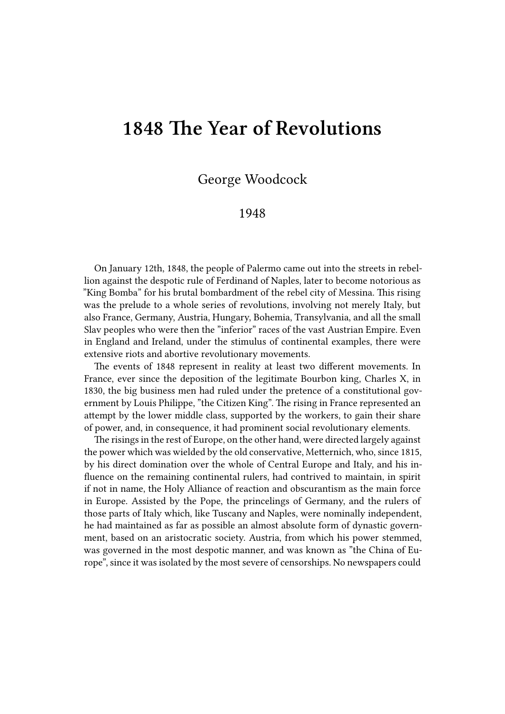# **1848 The Year of Revolutions**

## George Woodcock

### 1948

On January 12th, 1848, the people of Palermo came out into the streets in rebellion against the despotic rule of Ferdinand of Naples, later to become notorious as "King Bomba" for his brutal bombardment of the rebel city of Messina. This rising was the prelude to a whole series of revolutions, involving not merely Italy, but also France, Germany, Austria, Hungary, Bohemia, Transylvania, and all the small Slav peoples who were then the "inferior" races of the vast Austrian Empire. Even in England and Ireland, under the stimulus of continental examples, there were extensive riots and abortive revolutionary movements.

The events of 1848 represent in reality at least two different movements. In France, ever since the deposition of the legitimate Bourbon king, Charles X, in 1830, the big business men had ruled under the pretence of a constitutional government by Louis Philippe, "the Citizen King". The rising in France represented an attempt by the lower middle class, supported by the workers, to gain their share of power, and, in consequence, it had prominent social revolutionary elements.

The risings in the rest of Europe, on the other hand, were directed largely against the power which was wielded by the old conservative, Metternich, who, since 1815, by his direct domination over the whole of Central Europe and Italy, and his influence on the remaining continental rulers, had contrived to maintain, in spirit if not in name, the Holy Alliance of reaction and obscurantism as the main force in Europe. Assisted by the Pope, the princelings of Germany, and the rulers of those parts of Italy which, like Tuscany and Naples, were nominally independent, he had maintained as far as possible an almost absolute form of dynastic government, based on an aristocratic society. Austria, from which his power stemmed, was governed in the most despotic manner, and was known as "the China of Europe", since it was isolated by the most severe of censorships. No newspapers could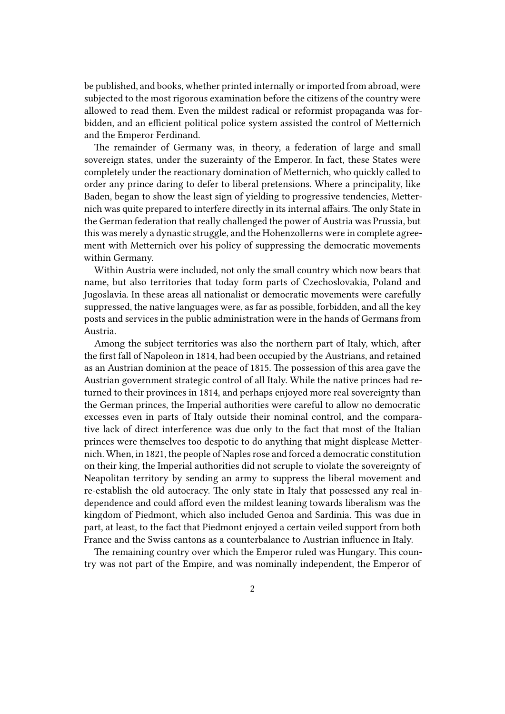be published, and books, whether printed internally or imported from abroad, were subjected to the most rigorous examination before the citizens of the country were allowed to read them. Even the mildest radical or reformist propaganda was forbidden, and an efficient political police system assisted the control of Metternich and the Emperor Ferdinand.

The remainder of Germany was, in theory, a federation of large and small sovereign states, under the suzerainty of the Emperor. In fact, these States were completely under the reactionary domination of Metternich, who quickly called to order any prince daring to defer to liberal pretensions. Where a principality, like Baden, began to show the least sign of yielding to progressive tendencies, Metternich was quite prepared to interfere directly in its internal affairs. The only State in the German federation that really challenged the power of Austria was Prussia, but this was merely a dynastic struggle, and the Hohenzollerns were in complete agreement with Metternich over his policy of suppressing the democratic movements within Germany.

Within Austria were included, not only the small country which now bears that name, but also territories that today form parts of Czechoslovakia, Poland and Jugoslavia. In these areas all nationalist or democratic movements were carefully suppressed, the native languages were, as far as possible, forbidden, and all the key posts and services in the public administration were in the hands of Germans from Austria.

Among the subject territories was also the northern part of Italy, which, after the first fall of Napoleon in 1814, had been occupied by the Austrians, and retained as an Austrian dominion at the peace of 1815. The possession of this area gave the Austrian government strategic control of all Italy. While the native princes had returned to their provinces in 1814, and perhaps enjoyed more real sovereignty than the German princes, the Imperial authorities were careful to allow no democratic excesses even in parts of Italy outside their nominal control, and the comparative lack of direct interference was due only to the fact that most of the Italian princes were themselves too despotic to do anything that might displease Metternich. When, in 1821, the people of Naples rose and forced a democratic constitution on their king, the Imperial authorities did not scruple to violate the sovereignty of Neapolitan territory by sending an army to suppress the liberal movement and re-establish the old autocracy. The only state in Italy that possessed any real independence and could afford even the mildest leaning towards liberalism was the kingdom of Piedmont, which also included Genoa and Sardinia. This was due in part, at least, to the fact that Piedmont enjoyed a certain veiled support from both France and the Swiss cantons as a counterbalance to Austrian influence in Italy.

The remaining country over which the Emperor ruled was Hungary. This country was not part of the Empire, and was nominally independent, the Emperor of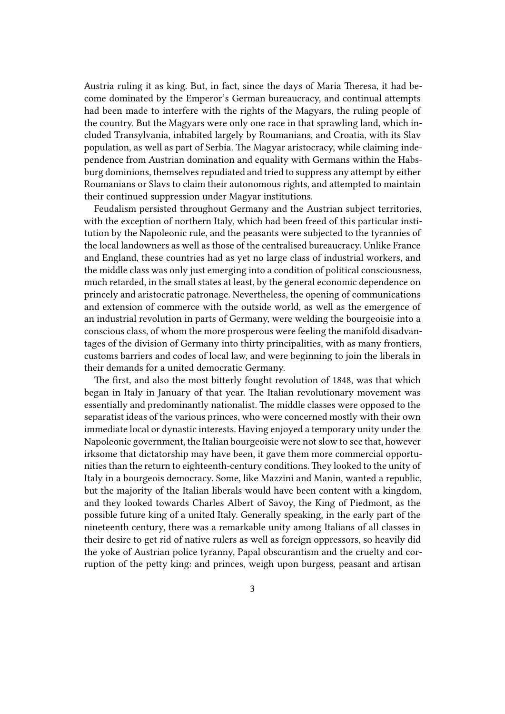Austria ruling it as king. But, in fact, since the days of Maria Theresa, it had become dominated by the Emperor's German bureaucracy, and continual attempts had been made to interfere with the rights of the Magyars, the ruling people of the country. But the Magyars were only one race in that sprawling land, which included Transylvania, inhabited largely by Roumanians, and Croatia, with its Slav population, as well as part of Serbia. The Magyar aristocracy, while claiming independence from Austrian domination and equality with Germans within the Habsburg dominions, themselves repudiated and tried to suppress any attempt by either Roumanians or Slavs to claim their autonomous rights, and attempted to maintain their continued suppression under Magyar institutions.

Feudalism persisted throughout Germany and the Austrian subject territories, with the exception of northern Italy, which had been freed of this particular institution by the Napoleonic rule, and the peasants were subjected to the tyrannies of the local landowners as well as those of the centralised bureaucracy. Unlike France and England, these countries had as yet no large class of industrial workers, and the middle class was only just emerging into a condition of political consciousness, much retarded, in the small states at least, by the general economic dependence on princely and aristocratic patronage. Nevertheless, the opening of communications and extension of commerce with the outside world, as well as the emergence of an industrial revolution in parts of Germany, were welding the bourgeoisie into a conscious class, of whom the more prosperous were feeling the manifold disadvantages of the division of Germany into thirty principalities, with as many frontiers, customs barriers and codes of local law, and were beginning to join the liberals in their demands for a united democratic Germany.

The first, and also the most bitterly fought revolution of 1848, was that which began in Italy in January of that year. The Italian revolutionary movement was essentially and predominantly nationalist. The middle classes were opposed to the separatist ideas of the various princes, who were concerned mostly with their own immediate local or dynastic interests. Having enjoyed a temporary unity under the Napoleonic government, the Italian bourgeoisie were not slow to see that, however irksome that dictatorship may have been, it gave them more commercial opportunities than the return to eighteenth-century conditions. They looked to the unity of Italy in a bourgeois democracy. Some, like Mazzini and Manin, wanted a republic, but the majority of the Italian liberals would have been content with a kingdom, and they looked towards Charles Albert of Savoy, the King of Piedmont, as the possible future king of a united Italy. Generally speaking, in the early part of the nineteenth century, there was a remarkable unity among Italians of all classes in their desire to get rid of native rulers as well as foreign oppressors, so heavily did the yoke of Austrian police tyranny, Papal obscurantism and the cruelty and corruption of the petty king: and princes, weigh upon burgess, peasant and artisan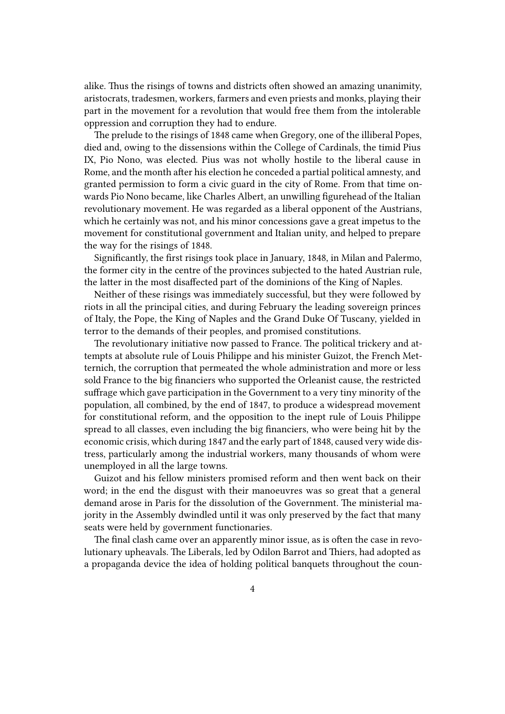alike. Thus the risings of towns and districts often showed an amazing unanimity, aristocrats, tradesmen, workers, farmers and even priests and monks, playing their part in the movement for a revolution that would free them from the intolerable oppression and corruption they had to endure.

The prelude to the risings of 1848 came when Gregory, one of the illiberal Popes, died and, owing to the dissensions within the College of Cardinals, the timid Pius IX, Pio Nono, was elected. Pius was not wholly hostile to the liberal cause in Rome, and the month after his election he conceded a partial political amnesty, and granted permission to form a civic guard in the city of Rome. From that time onwards Pio Nono became, like Charles Albert, an unwilling figurehead of the Italian revolutionary movement. He was regarded as a liberal opponent of the Austrians, which he certainly was not, and his minor concessions gave a great impetus to the movement for constitutional government and Italian unity, and helped to prepare the way for the risings of 1848.

Significantly, the first risings took place in January, 1848, in Milan and Palermo, the former city in the centre of the provinces subjected to the hated Austrian rule, the latter in the most disaffected part of the dominions of the King of Naples.

Neither of these risings was immediately successful, but they were followed by riots in all the principal cities, and during February the leading sovereign princes of Italy, the Pope, the King of Naples and the Grand Duke Of Tuscany, yielded in terror to the demands of their peoples, and promised constitutions.

The revolutionary initiative now passed to France. The political trickery and attempts at absolute rule of Louis Philippe and his minister Guizot, the French Metternich, the corruption that permeated the whole administration and more or less sold France to the big financiers who supported the Orleanist cause, the restricted suffrage which gave participation in the Government to a very tiny minority of the population, all combined, by the end of 1847, to produce a widespread movement for constitutional reform, and the opposition to the inept rule of Louis Philippe spread to all classes, even including the big financiers, who were being hit by the economic crisis, which during 1847 and the early part of 1848, caused very wide distress, particularly among the industrial workers, many thousands of whom were unemployed in all the large towns.

Guizot and his fellow ministers promised reform and then went back on their word; in the end the disgust with their manoeuvres was so great that a general demand arose in Paris for the dissolution of the Government. The ministerial majority in the Assembly dwindled until it was only preserved by the fact that many seats were held by government functionaries.

The final clash came over an apparently minor issue, as is often the case in revolutionary upheavals. The Liberals, led by Odilon Barrot and Thiers, had adopted as a propaganda device the idea of holding political banquets throughout the coun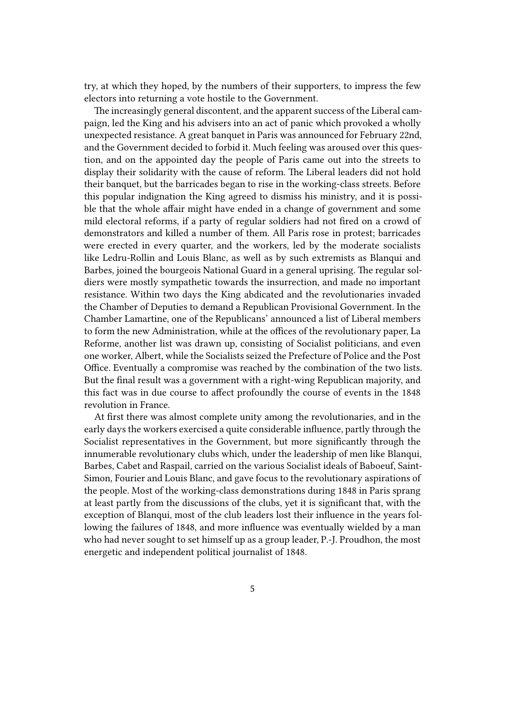try, at which they hoped, by the numbers of their supporters, to impress the few electors into returning a vote hostile to the Government.

The increasingly general discontent, and the apparent success of the Liberal campaign, led the King and his advisers into an act of panic which provoked a wholly unexpected resistance. A great banquet in Paris was announced for February 22nd, and the Government decided to forbid it. Much feeling was aroused over this question, and on the appointed day the people of Paris came out into the streets to display their solidarity with the cause of reform. The Liberal leaders did not hold their banquet, but the barricades began to rise in the working-class streets. Before this popular indignation the King agreed to dismiss his ministry, and it is possible that the whole affair might have ended in a change of government and some mild electoral reforms, if a party of regular soldiers had not fired on a crowd of demonstrators and killed a number of them. All Paris rose in protest; barricades were erected in every quarter, and the workers, led by the moderate socialists like Ledru-Rollin and Louis Blanc, as well as by such extremists as Blanqui and Barbes, joined the bourgeois National Guard in a general uprising. The regular soldiers were mostly sympathetic towards the insurrection, and made no important resistance. Within two days the King abdicated and the revolutionaries invaded the Chamber of Deputies to demand a Republican Provisional Government. In the Chamber Lamartine, one of the Republicans' announced a list of Liberal members to form the new Administration, while at the offices of the revolutionary paper, La Reforme, another list was drawn up, consisting of Socialist politicians, and even one worker, Albert, while the Socialists seized the Prefecture of Police and the Post Office. Eventually a compromise was reached by the combination of the two lists. But the final result was a government with a right-wing Republican majority, and this fact was in due course to affect profoundly the course of events in the 1848 revolution in France.

At first there was almost complete unity among the revolutionaries, and in the early days the workers exercised a quite considerable influence, partly through the Socialist representatives in the Government, but more significantly through the innumerable revolutionary clubs which, under the leadership of men like Blanqui, Barbes, Cabet and Raspail, carried on the various Socialist ideals of Baboeuf, Saint-Simon, Fourier and Louis Blanc, and gave focus to the revolutionary aspirations of the people. Most of the working-class demonstrations during 1848 in Paris sprang at least partly from the discussions of the clubs, yet it is significant that, with the exception of Blanqui, most of the club leaders lost their influence in the years following the failures of 1848, and more influence was eventually wielded by a man who had never sought to set himself up as a group leader, P.-J. Proudhon, the most energetic and independent political journalist of 1848.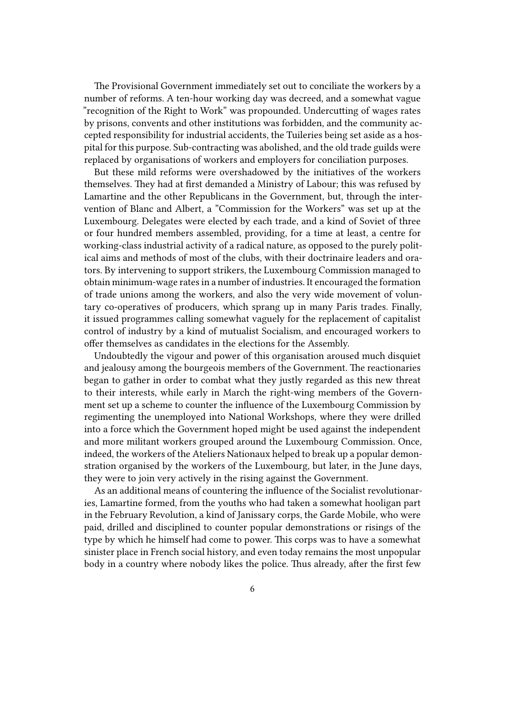The Provisional Government immediately set out to conciliate the workers by a number of reforms. A ten-hour working day was decreed, and a somewhat vague "recognition of the Right to Work" was propounded. Undercutting of wages rates by prisons, convents and other institutions was forbidden, and the community accepted responsibility for industrial accidents, the Tuileries being set aside as a hospital for this purpose. Sub-contracting was abolished, and the old trade guilds were replaced by organisations of workers and employers for conciliation purposes.

But these mild reforms were overshadowed by the initiatives of the workers themselves. They had at first demanded a Ministry of Labour; this was refused by Lamartine and the other Republicans in the Government, but, through the intervention of Blanc and Albert, a "Commission for the Workers" was set up at the Luxembourg. Delegates were elected by each trade, and a kind of Soviet of three or four hundred members assembled, providing, for a time at least, a centre for working-class industrial activity of a radical nature, as opposed to the purely political aims and methods of most of the clubs, with their doctrinaire leaders and orators. By intervening to support strikers, the Luxembourg Commission managed to obtain minimum-wage rates in a number of industries. It encouraged the formation of trade unions among the workers, and also the very wide movement of voluntary co-operatives of producers, which sprang up in many Paris trades. Finally, it issued programmes calling somewhat vaguely for the replacement of capitalist control of industry by a kind of mutualist Socialism, and encouraged workers to offer themselves as candidates in the elections for the Assembly.

Undoubtedly the vigour and power of this organisation aroused much disquiet and jealousy among the bourgeois members of the Government. The reactionaries began to gather in order to combat what they justly regarded as this new threat to their interests, while early in March the right-wing members of the Government set up a scheme to counter the influence of the Luxembourg Commission by regimenting the unemployed into National Workshops, where they were drilled into a force which the Government hoped might be used against the independent and more militant workers grouped around the Luxembourg Commission. Once, indeed, the workers of the Ateliers Nationaux helped to break up a popular demonstration organised by the workers of the Luxembourg, but later, in the June days, they were to join very actively in the rising against the Government.

As an additional means of countering the influence of the Socialist revolutionaries, Lamartine formed, from the youths who had taken a somewhat hooligan part in the February Revolution, a kind of Janissary corps, the Garde Mobile, who were paid, drilled and disciplined to counter popular demonstrations or risings of the type by which he himself had come to power. This corps was to have a somewhat sinister place in French social history, and even today remains the most unpopular body in a country where nobody likes the police. Thus already, after the first few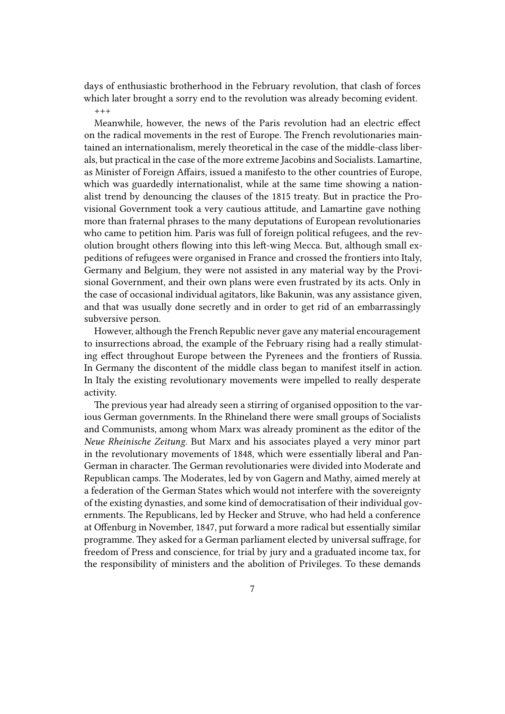days of enthusiastic brotherhood in the February revolution, that clash of forces which later brought a sorry end to the revolution was already becoming evident.

 $+ + +$ 

Meanwhile, however, the news of the Paris revolution had an electric effect on the radical movements in the rest of Europe. The French revolutionaries maintained an internationalism, merely theoretical in the case of the middle-class liberals, but practical in the case of the more extreme Jacobins and Socialists. Lamartine, as Minister of Foreign Affairs, issued a manifesto to the other countries of Europe, which was guardedly internationalist, while at the same time showing a nationalist trend by denouncing the clauses of the 1815 treaty. But in practice the Provisional Government took a very cautious attitude, and Lamartine gave nothing more than fraternal phrases to the many deputations of European revolutionaries who came to petition him. Paris was full of foreign political refugees, and the revolution brought others flowing into this left-wing Mecca. But, although small expeditions of refugees were organised in France and crossed the frontiers into Italy, Germany and Belgium, they were not assisted in any material way by the Provisional Government, and their own plans were even frustrated by its acts. Only in the case of occasional individual agitators, like Bakunin, was any assistance given, and that was usually done secretly and in order to get rid of an embarrassingly subversive person.

However, although the French Republic never gave any material encouragement to insurrections abroad, the example of the February rising had a really stimulating effect throughout Europe between the Pyrenees and the frontiers of Russia. In Germany the discontent of the middle class began to manifest itself in action. In Italy the existing revolutionary movements were impelled to really desperate activity.

The previous year had already seen a stirring of organised opposition to the various German governments. In the Rhineland there were small groups of Socialists and Communists, among whom Marx was already prominent as the editor of the *Neue Rheinische Zeitung*. But Marx and his associates played a very minor part in the revolutionary movements of 1848, which were essentially liberal and Pan-German in character. The German revolutionaries were divided into Moderate and Republican camps. The Moderates, led by von Gagern and Mathy, aimed merely at a federation of the German States which would not interfere with the sovereignty of the existing dynasties, and some kind of democratisation of their individual governments. The Republicans, led by Hecker and Struve, who had held a conference at Offenburg in November, 1847, put forward a more radical but essentially similar programme. They asked for a German parliament elected by universal suffrage, for freedom of Press and conscience, for trial by jury and a graduated income tax, for the responsibility of ministers and the abolition of Privileges. To these demands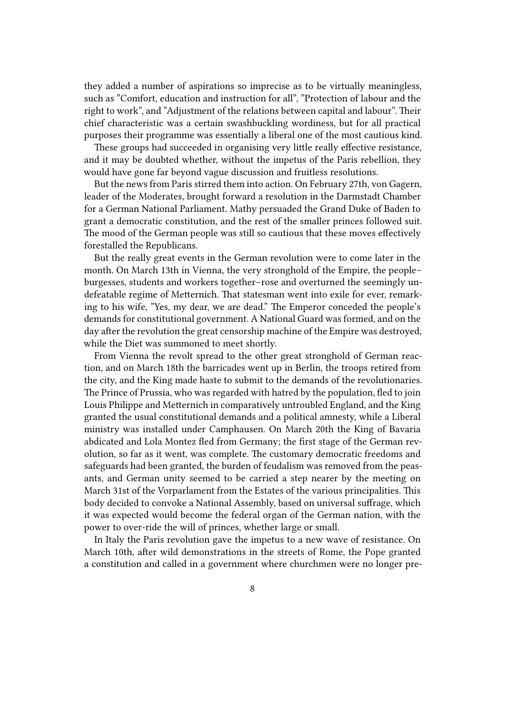they added a number of aspirations so imprecise as to be virtually meaningless, such as "Comfort, education and instruction for all", "Protection of labour and the right to work", and "Adjustment of the relations between capital and labour". Their chief characteristic was a certain swashbuckling wordiness, but for all practical purposes their programme was essentially a liberal one of the most cautious kind.

These groups had succeeded in organising very little really effective resistance, and it may be doubted whether, without the impetus of the Paris rebellion, they would have gone far beyond vague discussion and fruitless resolutions.

But the news from Paris stirred them into action. On February 27th, von Gagern, leader of the Moderates, brought forward a resolution in the Darmstadt Chamber for a German National Parliament. Mathy persuaded the Grand Duke of Baden to grant a democratic constitution, and the rest of the smaller princes followed suit. The mood of the German people was still so cautious that these moves effectively forestalled the Republicans.

But the really great events in the German revolution were to come later in the month. On March 13th in Vienna, the very stronghold of the Empire, the people– burgesses, students and workers together–rose and overturned the seemingly undefeatable regime of Metternich. That statesman went into exile for ever, remarking to his wife, "Yes, my dear, we are dead." The Emperor conceded the people's demands for constitutional government. A National Guard was formed, and on the day after the revolution the great censorship machine of the Empire was destroyed, while the Diet was summoned to meet shortly.

From Vienna the revolt spread to the other great stronghold of German reaction, and on March 18th the barricades went up in Berlin, the troops retired from the city, and the King made haste to submit to the demands of the revolutionaries. The Prince of Prussia, who was regarded with hatred by the population, fled to join Louis Philippe and Metternich in comparatively untroubled England, and the King granted the usual constitutional demands and a political amnesty, while a Liberal ministry was installed under Camphausen. On March 20th the King of Bavaria abdicated and Lola Montez fled from Germany; the first stage of the German revolution, so far as it went, was complete. The customary democratic freedoms and safeguards had been granted, the burden of feudalism was removed from the peasants, and German unity seemed to be carried a step nearer by the meeting on March 31st of the Vorparlament from the Estates of the various principalities. This body decided to convoke a National Assembly, based on universal suffrage, which it was expected would become the federal organ of the German nation, with the power to over-ride the will of princes, whether large or small.

In Italy the Paris revolution gave the impetus to a new wave of resistance. On March 10th, after wild demonstrations in the streets of Rome, the Pope granted a constitution and called in a government where churchmen were no longer pre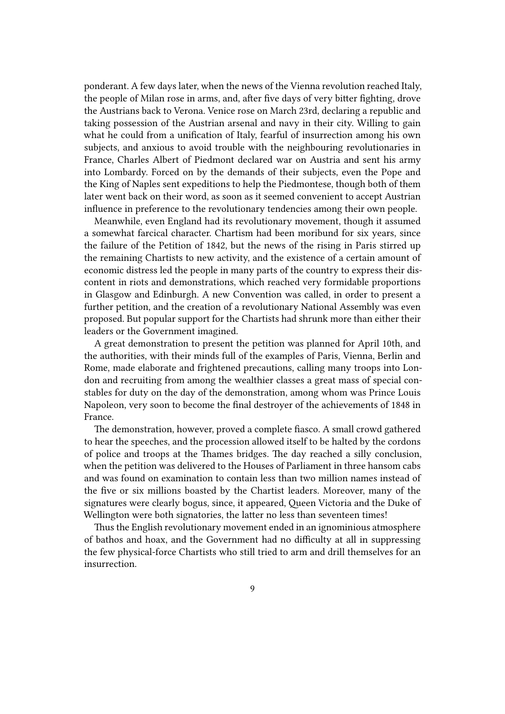ponderant. A few days later, when the news of the Vienna revolution reached Italy, the people of Milan rose in arms, and, after five days of very bitter fighting, drove the Austrians back to Verona. Venice rose on March 23rd, declaring a republic and taking possession of the Austrian arsenal and navy in their city. Willing to gain what he could from a unification of Italy, fearful of insurrection among his own subjects, and anxious to avoid trouble with the neighbouring revolutionaries in France, Charles Albert of Piedmont declared war on Austria and sent his army into Lombardy. Forced on by the demands of their subjects, even the Pope and the King of Naples sent expeditions to help the Piedmontese, though both of them later went back on their word, as soon as it seemed convenient to accept Austrian influence in preference to the revolutionary tendencies among their own people.

Meanwhile, even England had its revolutionary movement, though it assumed a somewhat farcical character. Chartism had been moribund for six years, since the failure of the Petition of 1842, but the news of the rising in Paris stirred up the remaining Chartists to new activity, and the existence of a certain amount of economic distress led the people in many parts of the country to express their discontent in riots and demonstrations, which reached very formidable proportions in Glasgow and Edinburgh. A new Convention was called, in order to present a further petition, and the creation of a revolutionary National Assembly was even proposed. But popular support for the Chartists had shrunk more than either their leaders or the Government imagined.

A great demonstration to present the petition was planned for April 10th, and the authorities, with their minds full of the examples of Paris, Vienna, Berlin and Rome, made elaborate and frightened precautions, calling many troops into London and recruiting from among the wealthier classes a great mass of special constables for duty on the day of the demonstration, among whom was Prince Louis Napoleon, very soon to become the final destroyer of the achievements of 1848 in France.

The demonstration, however, proved a complete fiasco. A small crowd gathered to hear the speeches, and the procession allowed itself to be halted by the cordons of police and troops at the Thames bridges. The day reached a silly conclusion, when the petition was delivered to the Houses of Parliament in three hansom cabs and was found on examination to contain less than two million names instead of the five or six millions boasted by the Chartist leaders. Moreover, many of the signatures were clearly bogus, since, it appeared, Queen Victoria and the Duke of Wellington were both signatories, the latter no less than seventeen times!

Thus the English revolutionary movement ended in an ignominious atmosphere of bathos and hoax, and the Government had no difficulty at all in suppressing the few physical-force Chartists who still tried to arm and drill themselves for an insurrection.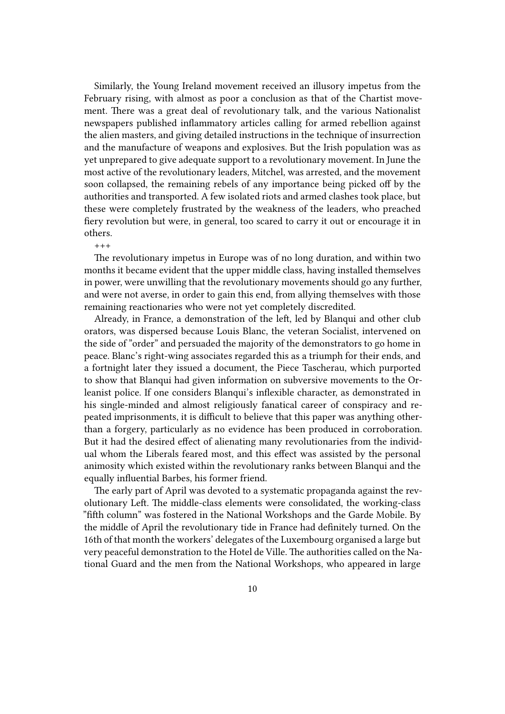Similarly, the Young Ireland movement received an illusory impetus from the February rising, with almost as poor a conclusion as that of the Chartist movement. There was a great deal of revolutionary talk, and the various Nationalist newspapers published inflammatory articles calling for armed rebellion against the alien masters, and giving detailed instructions in the technique of insurrection and the manufacture of weapons and explosives. But the Irish population was as yet unprepared to give adequate support to a revolutionary movement. In June the most active of the revolutionary leaders, Mitchel, was arrested, and the movement soon collapsed, the remaining rebels of any importance being picked off by the authorities and transported. A few isolated riots and armed clashes took place, but these were completely frustrated by the weakness of the leaders, who preached fiery revolution but were, in general, too scared to carry it out or encourage it in others.

 $^{+++}$ 

The revolutionary impetus in Europe was of no long duration, and within two months it became evident that the upper middle class, having installed themselves in power, were unwilling that the revolutionary movements should go any further, and were not averse, in order to gain this end, from allying themselves with those remaining reactionaries who were not yet completely discredited.

Already, in France, a demonstration of the left, led by Blanqui and other club orators, was dispersed because Louis Blanc, the veteran Socialist, intervened on the side of "order" and persuaded the majority of the demonstrators to go home in peace. Blanc's right-wing associates regarded this as a triumph for their ends, and a fortnight later they issued a document, the Piece Tascherau, which purported to show that Blanqui had given information on subversive movements to the Orleanist police. If one considers Blanqui's inflexible character, as demonstrated in his single-minded and almost religiously fanatical career of conspiracy and repeated imprisonments, it is difficult to believe that this paper was anything otherthan a forgery, particularly as no evidence has been produced in corroboration. But it had the desired effect of alienating many revolutionaries from the individual whom the Liberals feared most, and this effect was assisted by the personal animosity which existed within the revolutionary ranks between Blanqui and the equally influential Barbes, his former friend.

The early part of April was devoted to a systematic propaganda against the revolutionary Left. The middle-class elements were consolidated, the working-class "fifth column" was fostered in the National Workshops and the Garde Mobile. By the middle of April the revolutionary tide in France had definitely turned. On the 16th of that month the workers' delegates of the Luxembourg organised a large but very peaceful demonstration to the Hotel de Ville. The authorities called on the National Guard and the men from the National Workshops, who appeared in large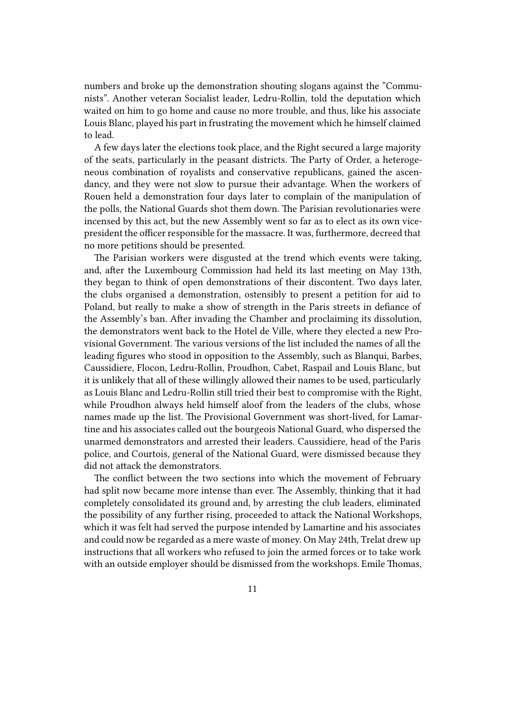numbers and broke up the demonstration shouting slogans against the "Communists". Another veteran Socialist leader, Ledru-Rollin, told the deputation which waited on him to go home and cause no more trouble, and thus, like his associate Louis Blanc, played his part in frustrating the movement which he himself claimed to lead.

A few days later the elections took place, and the Right secured a large majority of the seats, particularly in the peasant districts. The Party of Order, a heterogeneous combination of royalists and conservative republicans, gained the ascendancy, and they were not slow to pursue their advantage. When the workers of Rouen held a demonstration four days later to complain of the manipulation of the polls, the National Guards shot them down. The Parisian revolutionaries were incensed by this act, but the new Assembly went so far as to elect as its own vicepresident the officer responsible for the massacre. It was, furthermore, decreed that no more petitions should be presented.

The Parisian workers were disgusted at the trend which events were taking, and, after the Luxembourg Commission had held its last meeting on May 13th, they began to think of open demonstrations of their discontent. Two days later, the clubs organised a demonstration, ostensibly to present a petition for aid to Poland, but really to make a show of strength in the Paris streets in defiance of the Assembly's ban. After invading the Chamber and proclaiming its dissolution, the demonstrators went back to the Hotel de Ville, where they elected a new Provisional Government. The various versions of the list included the names of all the leading figures who stood in opposition to the Assembly, such as Blanqui, Barbes, Caussidiere, Flocon, Ledru-Rollin, Proudhon, Cabet, Raspail and Louis Blanc, but it is unlikely that all of these willingly allowed their names to be used, particularly as Louis Blanc and Ledru-Rollin still tried their best to compromise with the Right, while Proudhon always held himself aloof from the leaders of the clubs, whose names made up the list. The Provisional Government was short-lived, for Lamartine and his associates called out the bourgeois National Guard, who dispersed the unarmed demonstrators and arrested their leaders. Caussidiere, head of the Paris police, and Courtois, general of the National Guard, were dismissed because they did not attack the demonstrators.

The conflict between the two sections into which the movement of February had split now became more intense than ever. The Assembly, thinking that it had completely consolidated its ground and, by arresting the club leaders, eliminated the possibility of any further rising, proceeded to attack the National Workshops, which it was felt had served the purpose intended by Lamartine and his associates and could now be regarded as a mere waste of money. On May 24th, Trelat drew up instructions that all workers who refused to join the armed forces or to take work with an outside employer should be dismissed from the workshops. Emile Thomas,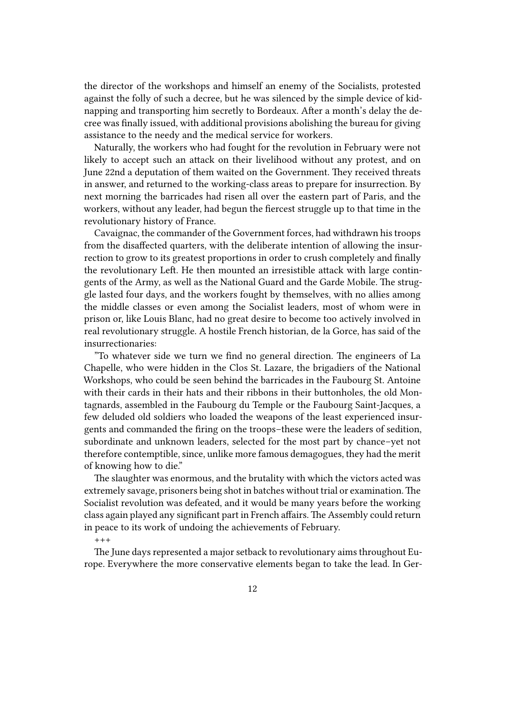the director of the workshops and himself an enemy of the Socialists, protested against the folly of such a decree, but he was silenced by the simple device of kidnapping and transporting him secretly to Bordeaux. After a month's delay the decree was finally issued, with additional provisions abolishing the bureau for giving assistance to the needy and the medical service for workers.

Naturally, the workers who had fought for the revolution in February were not likely to accept such an attack on their livelihood without any protest, and on June 22nd a deputation of them waited on the Government. They received threats in answer, and returned to the working-class areas to prepare for insurrection. By next morning the barricades had risen all over the eastern part of Paris, and the workers, without any leader, had begun the fiercest struggle up to that time in the revolutionary history of France.

Cavaignac, the commander of the Government forces, had withdrawn his troops from the disaffected quarters, with the deliberate intention of allowing the insurrection to grow to its greatest proportions in order to crush completely and finally the revolutionary Left. He then mounted an irresistible attack with large contingents of the Army, as well as the National Guard and the Garde Mobile. The struggle lasted four days, and the workers fought by themselves, with no allies among the middle classes or even among the Socialist leaders, most of whom were in prison or, like Louis Blanc, had no great desire to become too actively involved in real revolutionary struggle. A hostile French historian, de la Gorce, has said of the insurrectionaries:

"To whatever side we turn we find no general direction. The engineers of La Chapelle, who were hidden in the Clos St. Lazare, the brigadiers of the National Workshops, who could be seen behind the barricades in the Faubourg St. Antoine with their cards in their hats and their ribbons in their buttonholes, the old Montagnards, assembled in the Faubourg du Temple or the Faubourg Saint-Jacques, a few deluded old soldiers who loaded the weapons of the least experienced insurgents and commanded the firing on the troops–these were the leaders of sedition, subordinate and unknown leaders, selected for the most part by chance–yet not therefore contemptible, since, unlike more famous demagogues, they had the merit of knowing how to die."

The slaughter was enormous, and the brutality with which the victors acted was extremely savage, prisoners being shot in batches without trial or examination.The Socialist revolution was defeated, and it would be many years before the working class again played any significant part in French affairs. The Assembly could return in peace to its work of undoing the achievements of February.

#### $^{+++}$

The June days represented a major setback to revolutionary aims throughout Europe. Everywhere the more conservative elements began to take the lead. In Ger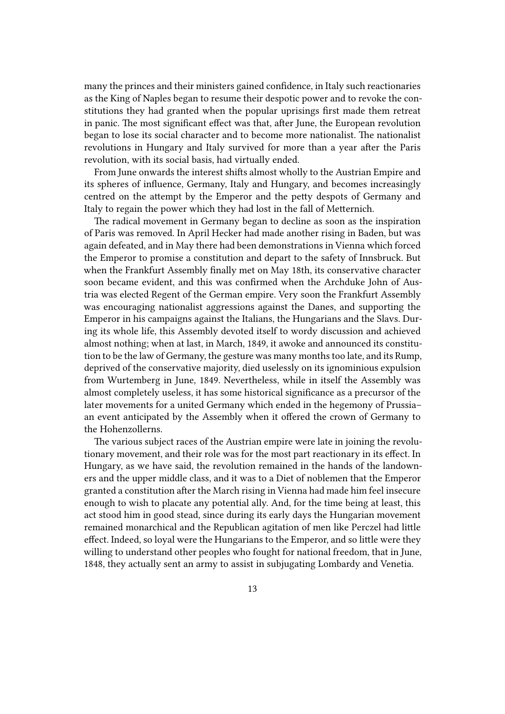many the princes and their ministers gained confidence, in Italy such reactionaries as the King of Naples began to resume their despotic power and to revoke the constitutions they had granted when the popular uprisings first made them retreat in panic. The most significant effect was that, after June, the European revolution began to lose its social character and to become more nationalist. The nationalist revolutions in Hungary and Italy survived for more than a year after the Paris revolution, with its social basis, had virtually ended.

From June onwards the interest shifts almost wholly to the Austrian Empire and its spheres of influence, Germany, Italy and Hungary, and becomes increasingly centred on the attempt by the Emperor and the petty despots of Germany and Italy to regain the power which they had lost in the fall of Metternich.

The radical movement in Germany began to decline as soon as the inspiration of Paris was removed. In April Hecker had made another rising in Baden, but was again defeated, and in May there had been demonstrations in Vienna which forced the Emperor to promise a constitution and depart to the safety of Innsbruck. But when the Frankfurt Assembly finally met on May 18th, its conservative character soon became evident, and this was confirmed when the Archduke John of Austria was elected Regent of the German empire. Very soon the Frankfurt Assembly was encouraging nationalist aggressions against the Danes, and supporting the Emperor in his campaigns against the Italians, the Hungarians and the Slavs. During its whole life, this Assembly devoted itself to wordy discussion and achieved almost nothing; when at last, in March, 1849, it awoke and announced its constitution to be the law of Germany, the gesture was many months too late, and its Rump, deprived of the conservative majority, died uselessly on its ignominious expulsion from Wurtemberg in June, 1849. Nevertheless, while in itself the Assembly was almost completely useless, it has some historical significance as a precursor of the later movements for a united Germany which ended in the hegemony of Prussia– an event anticipated by the Assembly when it offered the crown of Germany to the Hohenzollerns.

The various subject races of the Austrian empire were late in joining the revolutionary movement, and their role was for the most part reactionary in its effect. In Hungary, as we have said, the revolution remained in the hands of the landowners and the upper middle class, and it was to a Diet of noblemen that the Emperor granted a constitution after the March rising in Vienna had made him feel insecure enough to wish to placate any potential ally. And, for the time being at least, this act stood him in good stead, since during its early days the Hungarian movement remained monarchical and the Republican agitation of men like Perczel had little effect. Indeed, so loyal were the Hungarians to the Emperor, and so little were they willing to understand other peoples who fought for national freedom, that in June, 1848, they actually sent an army to assist in subjugating Lombardy and Venetia.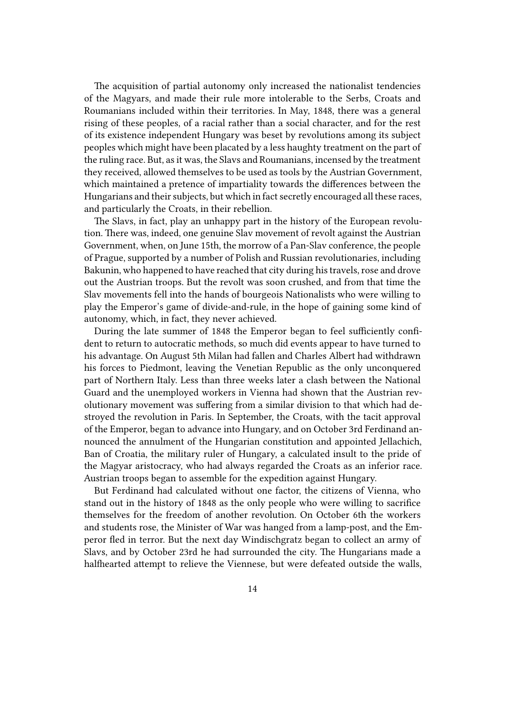The acquisition of partial autonomy only increased the nationalist tendencies of the Magyars, and made their rule more intolerable to the Serbs, Croats and Roumanians included within their territories. In May, 1848, there was a general rising of these peoples, of a racial rather than a social character, and for the rest of its existence independent Hungary was beset by revolutions among its subject peoples which might have been placated by a less haughty treatment on the part of the ruling race. But, as it was, the Slavs and Roumanians, incensed by the treatment they received, allowed themselves to be used as tools by the Austrian Government, which maintained a pretence of impartiality towards the differences between the Hungarians and their subjects, but which in fact secretly encouraged all these races, and particularly the Croats, in their rebellion.

The Slavs, in fact, play an unhappy part in the history of the European revolution. There was, indeed, one genuine Slav movement of revolt against the Austrian Government, when, on June 15th, the morrow of a Pan-Slav conference, the people of Prague, supported by a number of Polish and Russian revolutionaries, including Bakunin, who happened to have reached that city during his travels, rose and drove out the Austrian troops. But the revolt was soon crushed, and from that time the Slav movements fell into the hands of bourgeois Nationalists who were willing to play the Emperor's game of divide-and-rule, in the hope of gaining some kind of autonomy, which, in fact, they never achieved.

During the late summer of 1848 the Emperor began to feel sufficiently confident to return to autocratic methods, so much did events appear to have turned to his advantage. On August 5th Milan had fallen and Charles Albert had withdrawn his forces to Piedmont, leaving the Venetian Republic as the only unconquered part of Northern Italy. Less than three weeks later a clash between the National Guard and the unemployed workers in Vienna had shown that the Austrian revolutionary movement was suffering from a similar division to that which had destroyed the revolution in Paris. In September, the Croats, with the tacit approval of the Emperor, began to advance into Hungary, and on October 3rd Ferdinand announced the annulment of the Hungarian constitution and appointed Jellachich, Ban of Croatia, the military ruler of Hungary, a calculated insult to the pride of the Magyar aristocracy, who had always regarded the Croats as an inferior race. Austrian troops began to assemble for the expedition against Hungary.

But Ferdinand had calculated without one factor, the citizens of Vienna, who stand out in the history of 1848 as the only people who were willing to sacrifice themselves for the freedom of another revolution. On October 6th the workers and students rose, the Minister of War was hanged from a lamp-post, and the Emperor fled in terror. But the next day Windischgratz began to collect an army of Slavs, and by October 23rd he had surrounded the city. The Hungarians made a halfhearted attempt to relieve the Viennese, but were defeated outside the walls,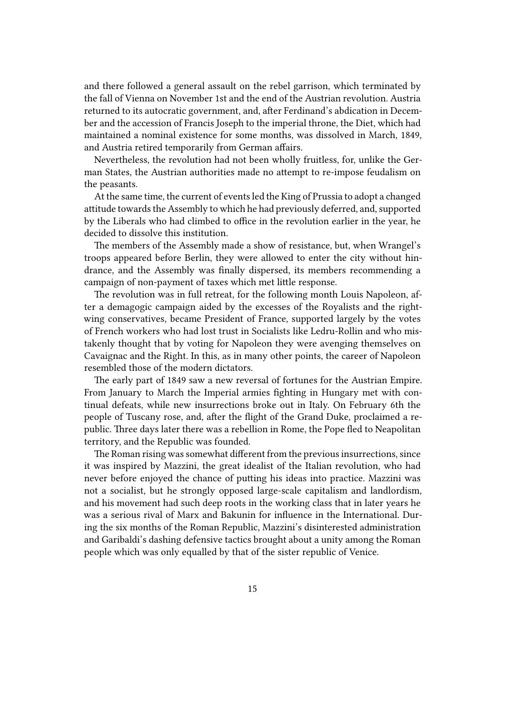and there followed a general assault on the rebel garrison, which terminated by the fall of Vienna on November 1st and the end of the Austrian revolution. Austria returned to its autocratic government, and, after Ferdinand's abdication in December and the accession of Francis Joseph to the imperial throne, the Diet, which had maintained a nominal existence for some months, was dissolved in March, 1849, and Austria retired temporarily from German affairs.

Nevertheless, the revolution had not been wholly fruitless, for, unlike the German States, the Austrian authorities made no attempt to re-impose feudalism on the peasants.

At the same time, the current of events led the King of Prussia to adopt a changed attitude towards the Assembly to which he had previously deferred, and, supported by the Liberals who had climbed to office in the revolution earlier in the year, he decided to dissolve this institution.

The members of the Assembly made a show of resistance, but, when Wrangel's troops appeared before Berlin, they were allowed to enter the city without hindrance, and the Assembly was finally dispersed, its members recommending a campaign of non-payment of taxes which met little response.

The revolution was in full retreat, for the following month Louis Napoleon, after a demagogic campaign aided by the excesses of the Royalists and the rightwing conservatives, became President of France, supported largely by the votes of French workers who had lost trust in Socialists like Ledru-Rollin and who mistakenly thought that by voting for Napoleon they were avenging themselves on Cavaignac and the Right. In this, as in many other points, the career of Napoleon resembled those of the modern dictators.

The early part of 1849 saw a new reversal of fortunes for the Austrian Empire. From January to March the Imperial armies fighting in Hungary met with continual defeats, while new insurrections broke out in Italy. On February 6th the people of Tuscany rose, and, after the flight of the Grand Duke, proclaimed a republic. Three days later there was a rebellion in Rome, the Pope fled to Neapolitan territory, and the Republic was founded.

The Roman rising was somewhat different from the previous insurrections, since it was inspired by Mazzini, the great idealist of the Italian revolution, who had never before enjoyed the chance of putting his ideas into practice. Mazzini was not a socialist, but he strongly opposed large-scale capitalism and landlordism, and his movement had such deep roots in the working class that in later years he was a serious rival of Marx and Bakunin for influence in the International. During the six months of the Roman Republic, Mazzini's disinterested administration and Garibaldi's dashing defensive tactics brought about a unity among the Roman people which was only equalled by that of the sister republic of Venice.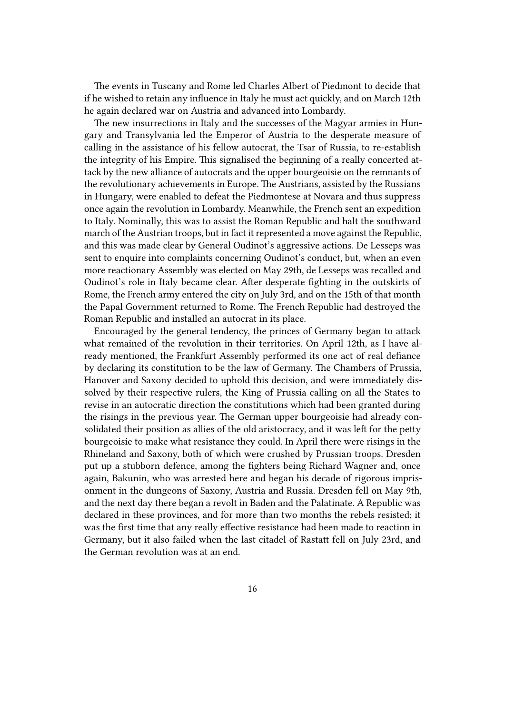The events in Tuscany and Rome led Charles Albert of Piedmont to decide that if he wished to retain any influence in Italy he must act quickly, and on March 12th he again declared war on Austria and advanced into Lombardy.

The new insurrections in Italy and the successes of the Magyar armies in Hungary and Transylvania led the Emperor of Austria to the desperate measure of calling in the assistance of his fellow autocrat, the Tsar of Russia, to re-establish the integrity of his Empire. This signalised the beginning of a really concerted attack by the new alliance of autocrats and the upper bourgeoisie on the remnants of the revolutionary achievements in Europe. The Austrians, assisted by the Russians in Hungary, were enabled to defeat the Piedmontese at Novara and thus suppress once again the revolution in Lombardy. Meanwhile, the French sent an expedition to Italy. Nominally, this was to assist the Roman Republic and halt the southward march of the Austrian troops, but in fact it represented a move against the Republic, and this was made clear by General Oudinot's aggressive actions. De Lesseps was sent to enquire into complaints concerning Oudinot's conduct, but, when an even more reactionary Assembly was elected on May 29th, de Lesseps was recalled and Oudinot's role in Italy became clear. After desperate fighting in the outskirts of Rome, the French army entered the city on July 3rd, and on the 15th of that month the Papal Government returned to Rome. The French Republic had destroyed the Roman Republic and installed an autocrat in its place.

Encouraged by the general tendency, the princes of Germany began to attack what remained of the revolution in their territories. On April 12th, as I have already mentioned, the Frankfurt Assembly performed its one act of real defiance by declaring its constitution to be the law of Germany. The Chambers of Prussia, Hanover and Saxony decided to uphold this decision, and were immediately dissolved by their respective rulers, the King of Prussia calling on all the States to revise in an autocratic direction the constitutions which had been granted during the risings in the previous year. The German upper bourgeoisie had already consolidated their position as allies of the old aristocracy, and it was left for the petty bourgeoisie to make what resistance they could. In April there were risings in the Rhineland and Saxony, both of which were crushed by Prussian troops. Dresden put up a stubborn defence, among the fighters being Richard Wagner and, once again, Bakunin, who was arrested here and began his decade of rigorous imprisonment in the dungeons of Saxony, Austria and Russia. Dresden fell on May 9th, and the next day there began a revolt in Baden and the Palatinate. A Republic was declared in these provinces, and for more than two months the rebels resisted; it was the first time that any really effective resistance had been made to reaction in Germany, but it also failed when the last citadel of Rastatt fell on July 23rd, and the German revolution was at an end.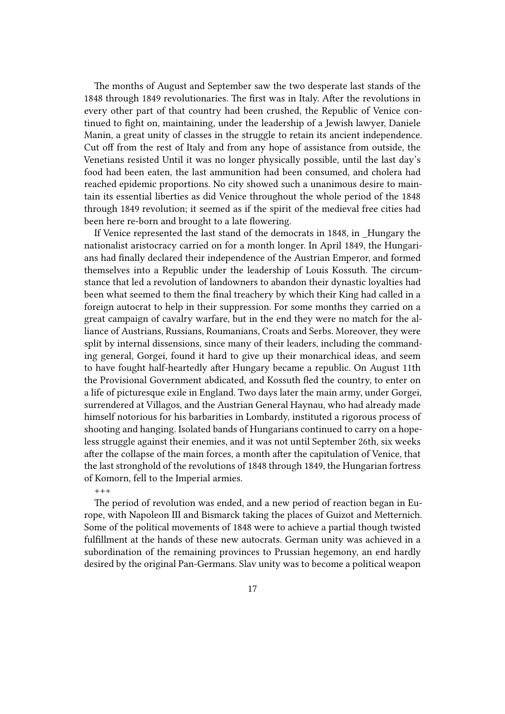The months of August and September saw the two desperate last stands of the 1848 through 1849 revolutionaries. The first was in Italy. After the revolutions in every other part of that country had been crushed, the Republic of Venice continued to fight on, maintaining, under the leadership of a Jewish lawyer, Daniele Manin, a great unity of classes in the struggle to retain its ancient independence. Cut off from the rest of Italy and from any hope of assistance from outside, the Venetians resisted Until it was no longer physically possible, until the last day's food had been eaten, the last ammunition had been consumed, and cholera had reached epidemic proportions. No city showed such a unanimous desire to maintain its essential liberties as did Venice throughout the whole period of the 1848 through 1849 revolution; it seemed as if the spirit of the medieval free cities had been here re-born and brought to a late flowering.

If Venice represented the last stand of the democrats in 1848, in Hungary the nationalist aristocracy carried on for a month longer. In April 1849, the Hungarians had finally declared their independence of the Austrian Emperor, and formed themselves into a Republic under the leadership of Louis Kossuth. The circumstance that led a revolution of landowners to abandon their dynastic loyalties had been what seemed to them the final treachery by which their King had called in a foreign autocrat to help in their suppression. For some months they carried on a great campaign of cavalry warfare, but in the end they were no match for the alliance of Austrians, Russians, Roumanians, Croats and Serbs. Moreover, they were split by internal dissensions, since many of their leaders, including the commanding general, Gorgei, found it hard to give up their monarchical ideas, and seem to have fought half-heartedly after Hungary became a republic. On August 11th the Provisional Government abdicated, and Kossuth fled the country, to enter on a life of picturesque exile in England. Two days later the main army, under Gorgei, surrendered at Villagos, and the Austrian General Haynau, who had already made himself notorious for his barbarities in Lombardy, instituted a rigorous process of shooting and hanging. Isolated bands of Hungarians continued to carry on a hopeless struggle against their enemies, and it was not until September 26th, six weeks after the collapse of the main forces, a month after the capitulation of Venice, that the last stronghold of the revolutions of 1848 through 1849, the Hungarian fortress of Komorn, fell to the Imperial armies.

#### $^{+++}$

The period of revolution was ended, and a new period of reaction began in Europe, with Napoleon III and Bismarck taking the places of Guizot and Metternich. Some of the political movements of 1848 were to achieve a partial though twisted fulfillment at the hands of these new autocrats. German unity was achieved in a subordination of the remaining provinces to Prussian hegemony, an end hardly desired by the original Pan-Germans. Slav unity was to become a political weapon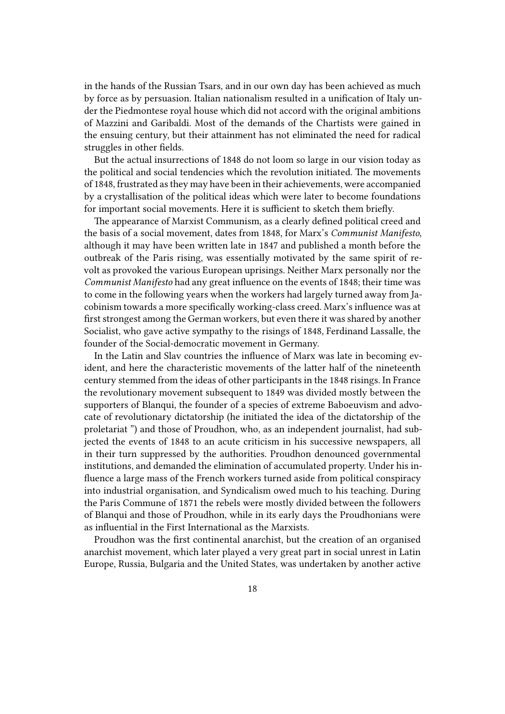in the hands of the Russian Tsars, and in our own day has been achieved as much by force as by persuasion. Italian nationalism resulted in a unification of Italy under the Piedmontese royal house which did not accord with the original ambitions of Mazzini and Garibaldi. Most of the demands of the Chartists were gained in the ensuing century, but their attainment has not eliminated the need for radical struggles in other fields.

But the actual insurrections of 1848 do not loom so large in our vision today as the political and social tendencies which the revolution initiated. The movements of 1848, frustrated as they may have been in their achievements, were accompanied by a crystallisation of the political ideas which were later to become foundations for important social movements. Here it is sufficient to sketch them briefly.

The appearance of Marxist Communism, as a clearly defined political creed and the basis of a social movement, dates from 1848, for Marx's *Communist Manifesto*, although it may have been written late in 1847 and published a month before the outbreak of the Paris rising, was essentially motivated by the same spirit of revolt as provoked the various European uprisings. Neither Marx personally nor the *Communist Manifesto* had any great influence on the events of 1848; their time was to come in the following years when the workers had largely turned away from Jacobinism towards a more specifically working-class creed. Marx's influence was at first strongest among the German workers, but even there it was shared by another Socialist, who gave active sympathy to the risings of 1848, Ferdinand Lassalle, the founder of the Social-democratic movement in Germany.

In the Latin and Slav countries the influence of Marx was late in becoming evident, and here the characteristic movements of the latter half of the nineteenth century stemmed from the ideas of other participants in the 1848 risings. In France the revolutionary movement subsequent to 1849 was divided mostly between the supporters of Blanqui, the founder of a species of extreme Baboeuvism and advocate of revolutionary dictatorship (he initiated the idea of the dictatorship of the proletariat ") and those of Proudhon, who, as an independent journalist, had subjected the events of 1848 to an acute criticism in his successive newspapers, all in their turn suppressed by the authorities. Proudhon denounced governmental institutions, and demanded the elimination of accumulated property. Under his influence a large mass of the French workers turned aside from political conspiracy into industrial organisation, and Syndicalism owed much to his teaching. During the Paris Commune of 1871 the rebels were mostly divided between the followers of Blanqui and those of Proudhon, while in its early days the Proudhonians were as influential in the First International as the Marxists.

Proudhon was the first continental anarchist, but the creation of an organised anarchist movement, which later played a very great part in social unrest in Latin Europe, Russia, Bulgaria and the United States, was undertaken by another active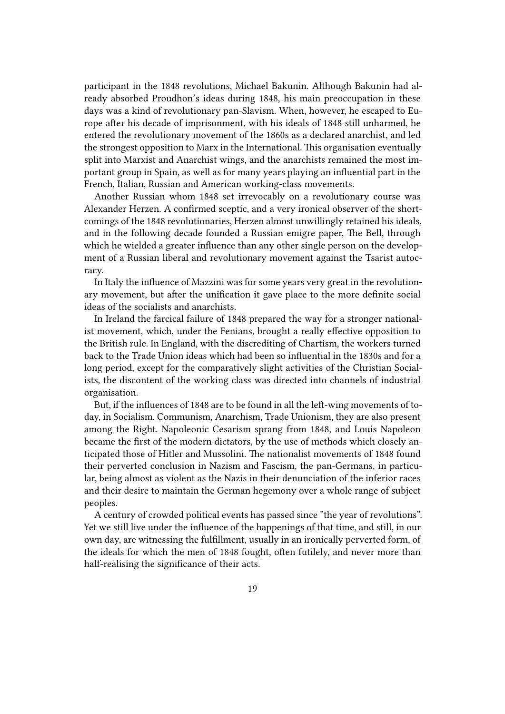participant in the 1848 revolutions, Michael Bakunin. Although Bakunin had already absorbed Proudhon's ideas during 1848, his main preoccupation in these days was a kind of revolutionary pan-Slavism. When, however, he escaped to Europe after his decade of imprisonment, with his ideals of 1848 still unharmed, he entered the revolutionary movement of the 1860s as a declared anarchist, and led the strongest opposition to Marx in the International. This organisation eventually split into Marxist and Anarchist wings, and the anarchists remained the most important group in Spain, as well as for many years playing an influential part in the French, Italian, Russian and American working-class movements.

Another Russian whom 1848 set irrevocably on a revolutionary course was Alexander Herzen. A confirmed sceptic, and a very ironical observer of the shortcomings of the 1848 revolutionaries, Herzen almost unwillingly retained his ideals, and in the following decade founded a Russian emigre paper, The Bell, through which he wielded a greater influence than any other single person on the development of a Russian liberal and revolutionary movement against the Tsarist autocracy.

In Italy the influence of Mazzini was for some years very great in the revolutionary movement, but after the unification it gave place to the more definite social ideas of the socialists and anarchists.

In Ireland the farcical failure of 1848 prepared the way for a stronger nationalist movement, which, under the Fenians, brought a really effective opposition to the British rule. In England, with the discrediting of Chartism, the workers turned back to the Trade Union ideas which had been so influential in the 1830s and for a long period, except for the comparatively slight activities of the Christian Socialists, the discontent of the working class was directed into channels of industrial organisation.

But, if the influences of 1848 are to be found in all the left-wing movements of today, in Socialism, Communism, Anarchism, Trade Unionism, they are also present among the Right. Napoleonic Cesarism sprang from 1848, and Louis Napoleon became the first of the modern dictators, by the use of methods which closely anticipated those of Hitler and Mussolini. The nationalist movements of 1848 found their perverted conclusion in Nazism and Fascism, the pan-Germans, in particular, being almost as violent as the Nazis in their denunciation of the inferior races and their desire to maintain the German hegemony over a whole range of subject peoples.

A century of crowded political events has passed since "the year of revolutions". Yet we still live under the influence of the happenings of that time, and still, in our own day, are witnessing the fulfillment, usually in an ironically perverted form, of the ideals for which the men of 1848 fought, often futilely, and never more than half-realising the significance of their acts.